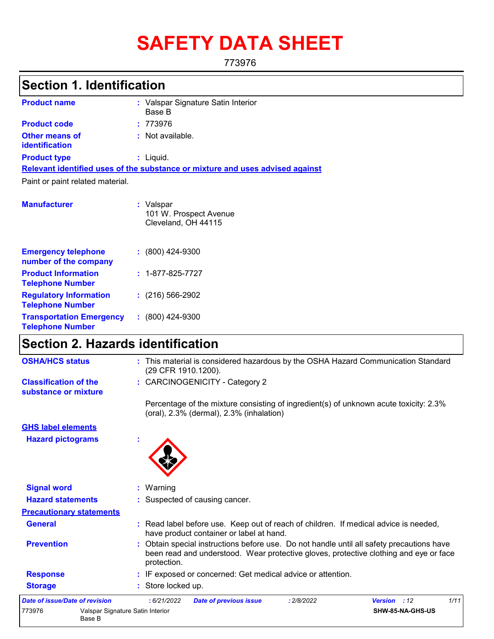# **SAFETY DATA SHEET**

773976

## **Section 1. Identification**

| <b>Product name</b>                            | : Valspar Signature Satin Interior<br>Base B                                  |
|------------------------------------------------|-------------------------------------------------------------------------------|
| <b>Product code</b>                            | :773976                                                                       |
| <b>Other means of</b><br><b>identification</b> | : Not available.                                                              |
| <b>Product type</b>                            | $:$ Liquid.                                                                   |
|                                                | Relevant identified uses of the substance or mixture and uses advised against |
| Paint or paint related material.               |                                                                               |

| <b>Manufacturer</b>                                        | : Valspar<br>101 W. Prospect Avenue<br>Cleveland, OH 44115 |
|------------------------------------------------------------|------------------------------------------------------------|
| <b>Emergency telephone</b><br>number of the company        | $: (800)$ 424-9300                                         |
| <b>Product Information</b><br><b>Telephone Number</b>      | $: 1 - 877 - 825 - 7727$                                   |
| <b>Regulatory Information</b><br><b>Telephone Number</b>   | $: (216) 566 - 2902$                                       |
| <b>Transportation Emergency</b><br><b>Telephone Number</b> | $: (800)$ 424-9300                                         |

### **Section 2. Hazards identification**

| <b>OSHA/HCS status</b>                               | : This material is considered hazardous by the OSHA Hazard Communication Standard<br>(29 CFR 1910.1200).                                                                                          |
|------------------------------------------------------|---------------------------------------------------------------------------------------------------------------------------------------------------------------------------------------------------|
| <b>Classification of the</b><br>substance or mixture | : CARCINOGENICITY - Category 2                                                                                                                                                                    |
|                                                      | Percentage of the mixture consisting of ingredient(s) of unknown acute toxicity: 2.3%<br>$($ oral $)$ , 2.3% $($ dermal $)$ , 2.3% $($ inhalation $)$                                             |
| <b>GHS label elements</b>                            |                                                                                                                                                                                                   |
| <b>Hazard pictograms</b>                             |                                                                                                                                                                                                   |
| <b>Signal word</b>                                   | : Warning                                                                                                                                                                                         |
| <b>Hazard statements</b>                             | : Suspected of causing cancer.                                                                                                                                                                    |
| <b>Precautionary statements</b>                      |                                                                                                                                                                                                   |
| <b>General</b>                                       | : Read label before use. Keep out of reach of children. If medical advice is needed,<br>have product container or label at hand.                                                                  |
| <b>Prevention</b>                                    | : Obtain special instructions before use. Do not handle until all safety precautions have<br>been read and understood. Wear protective gloves, protective clothing and eye or face<br>protection. |
| <b>Response</b>                                      | : IF exposed or concerned: Get medical advice or attention.                                                                                                                                       |
| <b>Storage</b>                                       | : Store locked up.                                                                                                                                                                                |
| <b>Date of issue/Date of revision</b>                | :6/21/2022<br>1/11<br><b>Date of previous issue</b><br>: 2/8/2022<br>Version : 12                                                                                                                 |
| 773976<br>Base B                                     | Valspar Signature Satin Interior<br>SHW-85-NA-GHS-US                                                                                                                                              |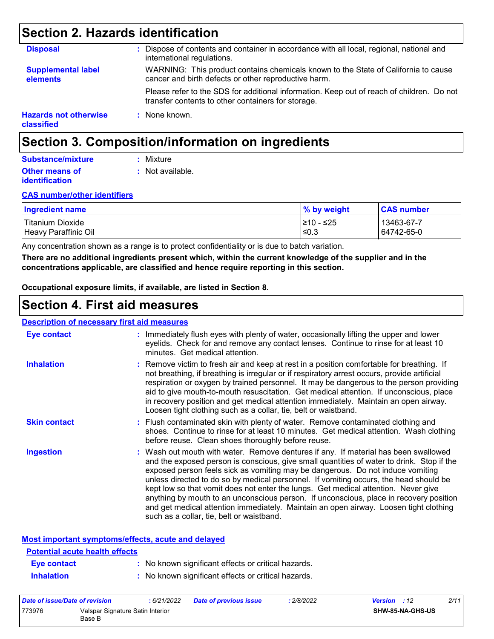### **Section 2. Hazards identification**

| <b>Disposal</b>                            | : Dispose of contents and container in accordance with all local, regional, national and<br>international regulations.                          |
|--------------------------------------------|-------------------------------------------------------------------------------------------------------------------------------------------------|
| <b>Supplemental label</b><br>elements      | WARNING: This product contains chemicals known to the State of California to cause<br>cancer and birth defects or other reproductive harm.      |
|                                            | Please refer to the SDS for additional information. Keep out of reach of children. Do not<br>transfer contents to other containers for storage. |
| <b>Hazards not otherwise</b><br>classified | : None known.                                                                                                                                   |

### **Section 3. Composition/information on ingredients**

### **Substance/mixture**

**:** Not available. **:** Mixture

#### **Other means of identification**

#### **CAS number/other identifiers**

| <b>Ingredient name</b> | % by weight | <b>CAS number</b> |
|------------------------|-------------|-------------------|
| Titanium Dioxide       | I≥10 - ≤25  | 13463-67-7        |
| Heavy Paraffinic Oil   | ≤0.3        | 64742-65-0        |

Any concentration shown as a range is to protect confidentiality or is due to batch variation.

**There are no additional ingredients present which, within the current knowledge of the supplier and in the concentrations applicable, are classified and hence require reporting in this section.**

**Occupational exposure limits, if available, are listed in Section 8.**

### **Section 4. First aid measures**

#### **Description of necessary first aid measures**

| <b>Eye contact</b>  | : Immediately flush eyes with plenty of water, occasionally lifting the upper and lower<br>eyelids. Check for and remove any contact lenses. Continue to rinse for at least 10<br>minutes. Get medical attention.                                                                                                                                                                                                                                                                                                                                                                                                                                                                 |
|---------------------|-----------------------------------------------------------------------------------------------------------------------------------------------------------------------------------------------------------------------------------------------------------------------------------------------------------------------------------------------------------------------------------------------------------------------------------------------------------------------------------------------------------------------------------------------------------------------------------------------------------------------------------------------------------------------------------|
| <b>Inhalation</b>   | : Remove victim to fresh air and keep at rest in a position comfortable for breathing. If<br>not breathing, if breathing is irregular or if respiratory arrest occurs, provide artificial<br>respiration or oxygen by trained personnel. It may be dangerous to the person providing<br>aid to give mouth-to-mouth resuscitation. Get medical attention. If unconscious, place<br>in recovery position and get medical attention immediately. Maintain an open airway.<br>Loosen tight clothing such as a collar, tie, belt or waistband.                                                                                                                                         |
| <b>Skin contact</b> | : Flush contaminated skin with plenty of water. Remove contaminated clothing and<br>shoes. Continue to rinse for at least 10 minutes. Get medical attention. Wash clothing<br>before reuse. Clean shoes thoroughly before reuse.                                                                                                                                                                                                                                                                                                                                                                                                                                                  |
| Ingestion           | : Wash out mouth with water. Remove dentures if any. If material has been swallowed<br>and the exposed person is conscious, give small quantities of water to drink. Stop if the<br>exposed person feels sick as vomiting may be dangerous. Do not induce vomiting<br>unless directed to do so by medical personnel. If vomiting occurs, the head should be<br>kept low so that vomit does not enter the lungs. Get medical attention. Never give<br>anything by mouth to an unconscious person. If unconscious, place in recovery position<br>and get medical attention immediately. Maintain an open airway. Loosen tight clothing<br>such as a collar, tie, belt or waistband. |

#### **Most important symptoms/effects, acute and delayed**

| <b>Potential acute health effects</b> |                                                     |
|---------------------------------------|-----------------------------------------------------|
| Eye contact                           | : No known significant effects or critical hazards. |
| <b>Inhalation</b>                     | : No known significant effects or critical hazards. |

| Date of issue/Date of revision |                                            | : 6/21/2022 | <b>Date of previous issue</b> | : 2/8/2022 | 2/11<br><b>Version</b> : 12 |
|--------------------------------|--------------------------------------------|-------------|-------------------------------|------------|-----------------------------|
| 773976                         | Valspar Signature Satin Interior<br>Base B |             |                               |            | SHW-85-NA-GHS-US            |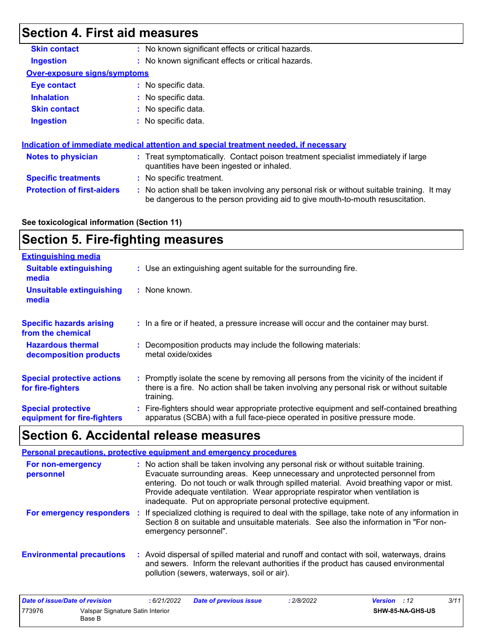### **Section 4. First aid measures**

| <b>Skin contact</b>          | : No known significant effects or critical hazards.                                  |
|------------------------------|--------------------------------------------------------------------------------------|
| <b>Ingestion</b>             | : No known significant effects or critical hazards.                                  |
| Over-exposure signs/symptoms |                                                                                      |
| <b>Eye contact</b>           | : No specific data.                                                                  |
| <b>Inhalation</b>            | : No specific data.                                                                  |
| <b>Skin contact</b>          | : No specific data.                                                                  |
| <b>Ingestion</b>             | : No specific data.                                                                  |
|                              |                                                                                      |
|                              | Indication of immediate medical attention and special treatment needed, if necessary |

| Notes to physician                | : Treat symptomatically. Contact poison treatment specialist immediately if large<br>quantities have been ingested or inhaled.                                                |
|-----------------------------------|-------------------------------------------------------------------------------------------------------------------------------------------------------------------------------|
| <b>Specific treatments</b>        | : No specific treatment.                                                                                                                                                      |
| <b>Protection of first-aiders</b> | : No action shall be taken involving any personal risk or without suitable training. It may<br>be dangerous to the person providing aid to give mouth-to-mouth resuscitation. |

#### **See toxicological information (Section 11)**

### **Section 5. Fire-fighting measures**

| <b>Extinguishing media</b>                               |                                                                                                                                                                                                     |
|----------------------------------------------------------|-----------------------------------------------------------------------------------------------------------------------------------------------------------------------------------------------------|
| <b>Suitable extinguishing</b><br>media                   | : Use an extinguishing agent suitable for the surrounding fire.                                                                                                                                     |
| <b>Unsuitable extinguishing</b><br>media                 | : None known.                                                                                                                                                                                       |
| <b>Specific hazards arising</b><br>from the chemical     | : In a fire or if heated, a pressure increase will occur and the container may burst.                                                                                                               |
| <b>Hazardous thermal</b><br>decomposition products       | : Decomposition products may include the following materials:<br>metal oxide/oxides                                                                                                                 |
| <b>Special protective actions</b><br>for fire-fighters   | : Promptly isolate the scene by removing all persons from the vicinity of the incident if<br>there is a fire. No action shall be taken involving any personal risk or without suitable<br>training. |
| <b>Special protective</b><br>equipment for fire-fighters | : Fire-fighters should wear appropriate protective equipment and self-contained breathing<br>apparatus (SCBA) with a full face-piece operated in positive pressure mode.                            |

### **Section 6. Accidental release measures**

|                                  | Personal precautions, protective equipment and emergency procedures                                                                                                                                                                                                                                                                                                                                              |
|----------------------------------|------------------------------------------------------------------------------------------------------------------------------------------------------------------------------------------------------------------------------------------------------------------------------------------------------------------------------------------------------------------------------------------------------------------|
| For non-emergency<br>personnel   | : No action shall be taken involving any personal risk or without suitable training.<br>Evacuate surrounding areas. Keep unnecessary and unprotected personnel from<br>entering. Do not touch or walk through spilled material. Avoid breathing vapor or mist.<br>Provide adequate ventilation. Wear appropriate respirator when ventilation is<br>inadequate. Put on appropriate personal protective equipment. |
| For emergency responders         | : If specialized clothing is required to deal with the spillage, take note of any information in<br>Section 8 on suitable and unsuitable materials. See also the information in "For non-<br>emergency personnel".                                                                                                                                                                                               |
| <b>Environmental precautions</b> | : Avoid dispersal of spilled material and runoff and contact with soil, waterways, drains<br>and sewers. Inform the relevant authorities if the product has caused environmental<br>pollution (sewers, waterways, soil or air).                                                                                                                                                                                  |

| Date of issue/Date of revision |                                            | : 6/21/2022 | <b>Date of previous issue</b> | : 2/8/2022 | <b>Version</b> : 12 |                         | 3/11 |
|--------------------------------|--------------------------------------------|-------------|-------------------------------|------------|---------------------|-------------------------|------|
| 773976                         | Valspar Signature Satin Interior<br>Base B |             |                               |            |                     | <b>SHW-85-NA-GHS-US</b> |      |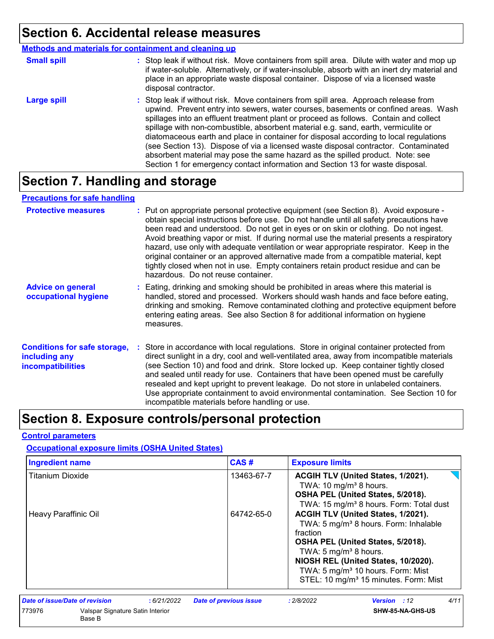### **Section 6. Accidental release measures**

|                    | <b>Methods and materials for containment and cleaning up</b>                                                                                                                                                                                                                                                                                                                                                                                                                                                                                                                                                                                                                                                 |
|--------------------|--------------------------------------------------------------------------------------------------------------------------------------------------------------------------------------------------------------------------------------------------------------------------------------------------------------------------------------------------------------------------------------------------------------------------------------------------------------------------------------------------------------------------------------------------------------------------------------------------------------------------------------------------------------------------------------------------------------|
| <b>Small spill</b> | : Stop leak if without risk. Move containers from spill area. Dilute with water and mop up<br>if water-soluble. Alternatively, or if water-insoluble, absorb with an inert dry material and<br>place in an appropriate waste disposal container. Dispose of via a licensed waste<br>disposal contractor.                                                                                                                                                                                                                                                                                                                                                                                                     |
| <b>Large spill</b> | : Stop leak if without risk. Move containers from spill area. Approach release from<br>upwind. Prevent entry into sewers, water courses, basements or confined areas. Wash<br>spillages into an effluent treatment plant or proceed as follows. Contain and collect<br>spillage with non-combustible, absorbent material e.g. sand, earth, vermiculite or<br>diatomaceous earth and place in container for disposal according to local regulations<br>(see Section 13). Dispose of via a licensed waste disposal contractor. Contaminated<br>absorbent material may pose the same hazard as the spilled product. Note: see<br>Section 1 for emergency contact information and Section 13 for waste disposal. |

### **Section 7. Handling and storage**

### **Precautions for safe handling**

| <b>Protective measures</b>                                                       | : Put on appropriate personal protective equipment (see Section 8). Avoid exposure -<br>obtain special instructions before use. Do not handle until all safety precautions have<br>been read and understood. Do not get in eyes or on skin or clothing. Do not ingest.<br>Avoid breathing vapor or mist. If during normal use the material presents a respiratory<br>hazard, use only with adequate ventilation or wear appropriate respirator. Keep in the<br>original container or an approved alternative made from a compatible material, kept<br>tightly closed when not in use. Empty containers retain product residue and can be<br>hazardous. Do not reuse container. |
|----------------------------------------------------------------------------------|--------------------------------------------------------------------------------------------------------------------------------------------------------------------------------------------------------------------------------------------------------------------------------------------------------------------------------------------------------------------------------------------------------------------------------------------------------------------------------------------------------------------------------------------------------------------------------------------------------------------------------------------------------------------------------|
| <b>Advice on general</b><br>occupational hygiene                                 | : Eating, drinking and smoking should be prohibited in areas where this material is<br>handled, stored and processed. Workers should wash hands and face before eating,<br>drinking and smoking. Remove contaminated clothing and protective equipment before<br>entering eating areas. See also Section 8 for additional information on hygiene<br>measures.                                                                                                                                                                                                                                                                                                                  |
| <b>Conditions for safe storage,</b><br>including any<br><b>incompatibilities</b> | : Store in accordance with local regulations. Store in original container protected from<br>direct sunlight in a dry, cool and well-ventilated area, away from incompatible materials<br>(see Section 10) and food and drink. Store locked up. Keep container tightly closed<br>and sealed until ready for use. Containers that have been opened must be carefully<br>resealed and kept upright to prevent leakage. Do not store in unlabeled containers.<br>Use appropriate containment to avoid environmental contamination. See Section 10 for<br>incompatible materials before handling or use.                                                                            |

### **Section 8. Exposure controls/personal protection**

#### **Control parameters**

#### **Occupational exposure limits (OSHA United States)**

| <b>Ingredient name</b>  |                                            | CAS#                                        | <b>Exposure limits</b>                                                                                                                                                                                                                                                |  |
|-------------------------|--------------------------------------------|---------------------------------------------|-----------------------------------------------------------------------------------------------------------------------------------------------------------------------------------------------------------------------------------------------------------------------|--|
| <b>Titanium Dioxide</b> |                                            | 13463-67-7                                  | ACGIH TLV (United States, 1/2021).<br>TWA: 10 mg/m <sup>3</sup> 8 hours.<br>OSHA PEL (United States, 5/2018).<br>TWA: 15 mg/m <sup>3</sup> 8 hours. Form: Total dust                                                                                                  |  |
| Heavy Paraffinic Oil    |                                            | 64742-65-0                                  | ACGIH TLV (United States, 1/2021).<br>TWA: 5 mg/m <sup>3</sup> 8 hours. Form: Inhalable<br>fraction<br>OSHA PEL (United States, 5/2018).<br>TWA: 5 mg/m <sup>3</sup> 8 hours.<br>NIOSH REL (United States, 10/2020).<br>TWA: 5 mg/m <sup>3</sup> 10 hours. Form: Mist |  |
|                         |                                            |                                             | STEL: 10 mg/m <sup>3</sup> 15 minutes. Form: Mist                                                                                                                                                                                                                     |  |
|                         | Date of issue/Date of revision             | <b>Date of previous issue</b><br>:6/21/2022 | 4/11<br><b>Version</b> : 12<br>: 2/8/2022                                                                                                                                                                                                                             |  |
| 773976                  | Valspar Signature Satin Interior<br>Base B |                                             | SHW-85-NA-GHS-US                                                                                                                                                                                                                                                      |  |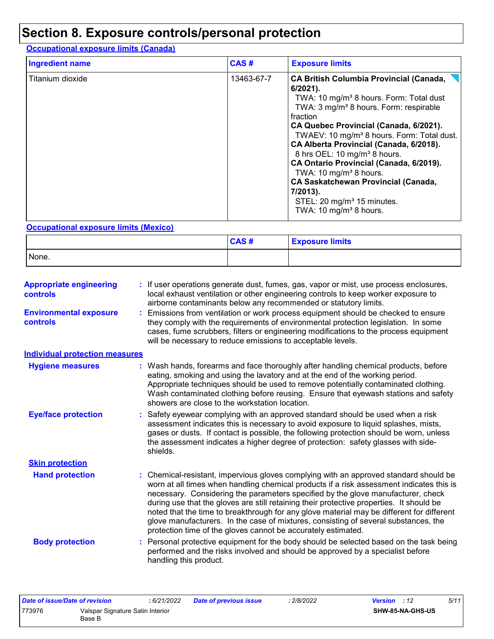### **Section 8. Exposure controls/personal protection**

### **Occupational exposure limits (Canada)**

| <b>Ingredient name</b> | CAS#       | <b>Exposure limits</b>                                                                                                                                                                                                                                                                                                                                                                                                                                                                                                                                                                                       |
|------------------------|------------|--------------------------------------------------------------------------------------------------------------------------------------------------------------------------------------------------------------------------------------------------------------------------------------------------------------------------------------------------------------------------------------------------------------------------------------------------------------------------------------------------------------------------------------------------------------------------------------------------------------|
| Titanium dioxide       | 13463-67-7 | <b>CA British Columbia Provincial (Canada,</b><br>$6/2021$ ).<br>TWA: 10 mg/m <sup>3</sup> 8 hours. Form: Total dust<br>TWA: 3 mg/m <sup>3</sup> 8 hours. Form: respirable<br>fraction<br>CA Quebec Provincial (Canada, 6/2021).<br>TWAEV: 10 mg/m <sup>3</sup> 8 hours. Form: Total dust.<br>CA Alberta Provincial (Canada, 6/2018).<br>8 hrs OEL: 10 mg/m <sup>3</sup> 8 hours.<br>CA Ontario Provincial (Canada, 6/2019).<br>TWA: 10 mg/m <sup>3</sup> 8 hours.<br><b>CA Saskatchewan Provincial (Canada,</b><br>7/2013).<br>STEL: 20 mg/m <sup>3</sup> 15 minutes.<br>TWA: 10 mg/m <sup>3</sup> 8 hours. |

### **Occupational exposure limits (Mexico)**

|       | CAS# | <b>Exposure limits</b> |
|-------|------|------------------------|
| None. |      |                        |

| <b>Appropriate engineering</b><br><b>controls</b> | : If user operations generate dust, fumes, gas, vapor or mist, use process enclosures,<br>local exhaust ventilation or other engineering controls to keep worker exposure to<br>airborne contaminants below any recommended or statutory limits.                                                                                                                                                                                                                                                                                                                                                                       |
|---------------------------------------------------|------------------------------------------------------------------------------------------------------------------------------------------------------------------------------------------------------------------------------------------------------------------------------------------------------------------------------------------------------------------------------------------------------------------------------------------------------------------------------------------------------------------------------------------------------------------------------------------------------------------------|
| <b>Environmental exposure</b><br><b>controls</b>  | Emissions from ventilation or work process equipment should be checked to ensure<br>they comply with the requirements of environmental protection legislation. In some<br>cases, fume scrubbers, filters or engineering modifications to the process equipment<br>will be necessary to reduce emissions to acceptable levels.                                                                                                                                                                                                                                                                                          |
| <b>Individual protection measures</b>             |                                                                                                                                                                                                                                                                                                                                                                                                                                                                                                                                                                                                                        |
| <b>Hygiene measures</b>                           | : Wash hands, forearms and face thoroughly after handling chemical products, before<br>eating, smoking and using the lavatory and at the end of the working period.<br>Appropriate techniques should be used to remove potentially contaminated clothing.<br>Wash contaminated clothing before reusing. Ensure that eyewash stations and safety<br>showers are close to the workstation location.                                                                                                                                                                                                                      |
| <b>Eye/face protection</b>                        | : Safety eyewear complying with an approved standard should be used when a risk<br>assessment indicates this is necessary to avoid exposure to liquid splashes, mists,<br>gases or dusts. If contact is possible, the following protection should be worn, unless<br>the assessment indicates a higher degree of protection: safety glasses with side-<br>shields.                                                                                                                                                                                                                                                     |
| <b>Skin protection</b>                            |                                                                                                                                                                                                                                                                                                                                                                                                                                                                                                                                                                                                                        |
| <b>Hand protection</b>                            | : Chemical-resistant, impervious gloves complying with an approved standard should be<br>worn at all times when handling chemical products if a risk assessment indicates this is<br>necessary. Considering the parameters specified by the glove manufacturer, check<br>during use that the gloves are still retaining their protective properties. It should be<br>noted that the time to breakthrough for any glove material may be different for different<br>glove manufacturers. In the case of mixtures, consisting of several substances, the<br>protection time of the gloves cannot be accurately estimated. |
| <b>Body protection</b>                            | Personal protective equipment for the body should be selected based on the task being<br>performed and the risks involved and should be approved by a specialist before<br>handling this product.                                                                                                                                                                                                                                                                                                                                                                                                                      |

| Date of issue/Date of revision |                                            | : 6/21/2022 | <b>Date of previous issue</b> | .2/8/2022 | <b>Version</b> : 12 |                  | 5/11 |
|--------------------------------|--------------------------------------------|-------------|-------------------------------|-----------|---------------------|------------------|------|
| 773976                         | Valspar Signature Satin Interior<br>Base B |             |                               |           |                     | SHW-85-NA-GHS-US |      |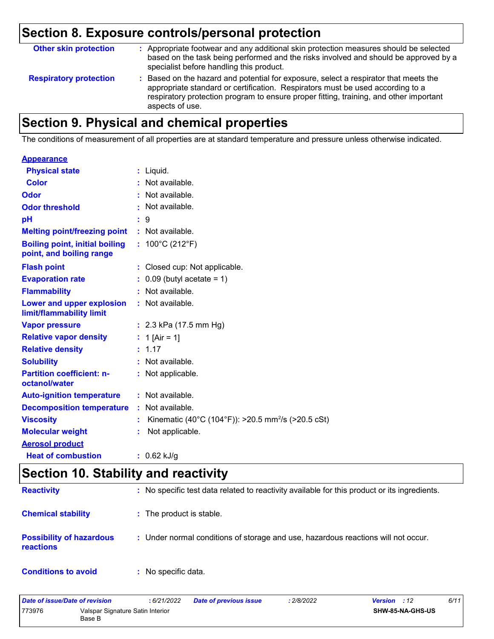## **Section 8. Exposure controls/personal protection**

| <b>Other skin protection</b>  | : Appropriate footwear and any additional skin protection measures should be selected<br>based on the task being performed and the risks involved and should be approved by a<br>specialist before handling this product.                                                           |
|-------------------------------|-------------------------------------------------------------------------------------------------------------------------------------------------------------------------------------------------------------------------------------------------------------------------------------|
| <b>Respiratory protection</b> | : Based on the hazard and potential for exposure, select a respirator that meets the<br>appropriate standard or certification. Respirators must be used according to a<br>respiratory protection program to ensure proper fitting, training, and other important<br>aspects of use. |

## **Section 9. Physical and chemical properties**

The conditions of measurement of all properties are at standard temperature and pressure unless otherwise indicated.

#### **Appearance**

| <b>Physical state</b>                                             | $:$ Liquid.                                                    |
|-------------------------------------------------------------------|----------------------------------------------------------------|
| <b>Color</b>                                                      | Not available.                                                 |
| Odor                                                              | : Not available.                                               |
| <b>Odor threshold</b>                                             | : Not available.                                               |
| рH                                                                | : 9                                                            |
| <b>Melting point/freezing point</b>                               | : Not available.                                               |
| <b>Boiling point, initial boiling</b><br>point, and boiling range | : $100^{\circ}$ C (212 $^{\circ}$ F)                           |
| <b>Flash point</b>                                                | : Closed cup: Not applicable.                                  |
| <b>Evaporation rate</b>                                           | $\therefore$ 0.09 (butyl acetate = 1)                          |
| <b>Flammability</b>                                               | : Not available.                                               |
| Lower and upper explosion<br>limit/flammability limit             | : Not available.                                               |
| <b>Vapor pressure</b>                                             | : $2.3$ kPa (17.5 mm Hg)                                       |
| <b>Relative vapor density</b>                                     | : 1 [Air = 1]                                                  |
| <b>Relative density</b>                                           | : 1.17                                                         |
| <b>Solubility</b>                                                 | : Not available.                                               |
| <b>Partition coefficient: n-</b><br>octanol/water                 | : Not applicable.                                              |
| <b>Auto-ignition temperature</b>                                  | : Not available.                                               |
| <b>Decomposition temperature</b>                                  | : Not available.                                               |
| <b>Viscosity</b>                                                  | Kinematic (40°C (104°F)): >20.5 mm <sup>2</sup> /s (>20.5 cSt) |
| <b>Molecular weight</b>                                           | Not applicable.                                                |
| <b>Aerosol product</b>                                            |                                                                |
| <b>Heat of combustion</b>                                         | $: 0.62$ kJ/g                                                  |

### **Section 10. Stability and reactivity**

| <b>Reactivity</b>                                   | : No specific test data related to reactivity available for this product or its ingredients. |
|-----------------------------------------------------|----------------------------------------------------------------------------------------------|
| <b>Chemical stability</b>                           | : The product is stable.                                                                     |
| <b>Possibility of hazardous</b><br><b>reactions</b> | : Under normal conditions of storage and use, hazardous reactions will not occur.            |
| <b>Conditions to avoid</b>                          | : No specific data.                                                                          |

| Date of issue/Date of revision                       |  | : 6/21/2022 | <b>Date of previous issue</b> | : 2/8/2022              | <b>Version</b> : 12 | 6/11 |
|------------------------------------------------------|--|-------------|-------------------------------|-------------------------|---------------------|------|
| 773976<br>Valspar Signature Satin Interior<br>Base B |  |             |                               | <b>SHW-85-NA-GHS-US</b> |                     |      |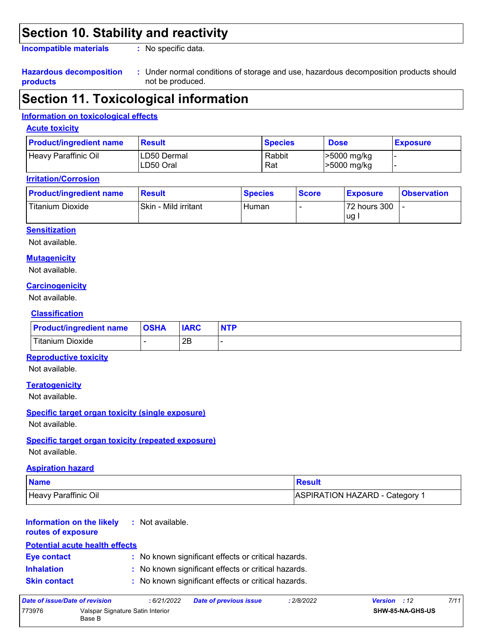### **Section 10. Stability and reactivity**

**Incompatible materials :**

: No specific data.

#### **Hazardous decomposition products**

Under normal conditions of storage and use, hazardous decomposition products should **:** not be produced.

### **Section 11. Toxicological information**

#### **Information on toxicological effects**

#### **Acute toxicity**

| <b>Product/ingredient name</b> | <b>Result</b>            | <b>Species</b> | <b>Dose</b>                | <b>Exposure</b> |
|--------------------------------|--------------------------|----------------|----------------------------|-----------------|
| Heavy Paraffinic Oil           | LD50 Dermal<br>LD50 Oral | Rabbit<br>Rat  | >5000 mg/kg<br>>5000 mg/kg |                 |

#### **Irritation/Corrosion**

| <b>Product/ingredient name</b> | <b>Result</b>        | <b>Species</b> | <b>Score</b> | <b>Exposure</b>    | <b>Observation</b> |
|--------------------------------|----------------------|----------------|--------------|--------------------|--------------------|
| Titanium Dioxide               | Skin - Mild irritant | Human          |              | 72 hours 300<br>ug |                    |

#### **Sensitization**

Not available.

#### **Mutagenicity**

Not available.

#### **Carcinogenicity**

Not available.

#### **Classification**

| <b>Product/ingredient name</b> | <b>OSHA</b> | <b>IARC</b> | <b>NTP</b> |
|--------------------------------|-------------|-------------|------------|
| Titanium Dioxide               |             | 2Β          |            |

#### **Reproductive toxicity**

Not available.

#### **Teratogenicity**

Not available.

#### **Specific target organ toxicity (single exposure)**

Not available.

#### **Specific target organ toxicity (repeated exposure)**

Not available.

#### **Aspiration hazard**

| <b>Name</b>          | <u>I</u> Result                       |
|----------------------|---------------------------------------|
| Heavy Paraffinic Oil | <b>ASPIRATION HAZARD - Category 1</b> |

#### **Information on the likely :** Not available.

#### **routes of exposure**

### **Potential acute health effects**

| <b>Eye contact</b> | : No known significant effects or critical hazards. |
|--------------------|-----------------------------------------------------|
| <b>Inhalation</b>  | : No known significant effects or critical hazards. |

**Skin contact :** No known significant effects or critical hazards.

| Date of issue/Date of revision |                                            | : 6/21/2022 | <b>Date of previous issue</b> | : 2/8/2022 | <b>Version</b> : 12 |                  | 7/11 |
|--------------------------------|--------------------------------------------|-------------|-------------------------------|------------|---------------------|------------------|------|
| 773976                         | Valspar Signature Satin Interior<br>Base B |             |                               |            |                     | SHW-85-NA-GHS-US |      |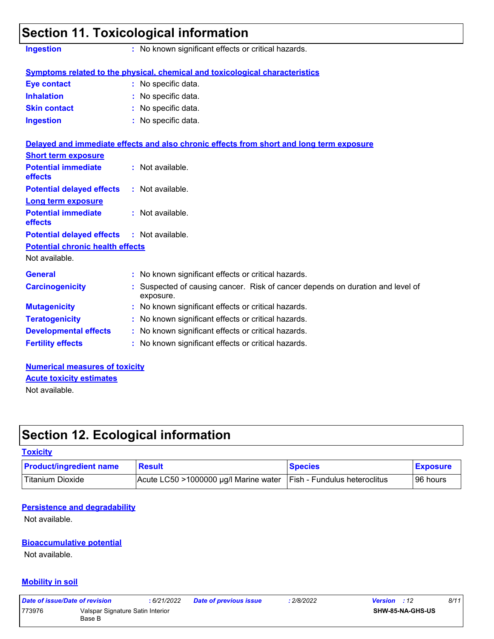| <b>Ingestion</b>                        | : No known significant effects or critical hazards.                                       |
|-----------------------------------------|-------------------------------------------------------------------------------------------|
|                                         | Symptoms related to the physical, chemical and toxicological characteristics              |
| <b>Eye contact</b>                      | : No specific data.                                                                       |
| <b>Inhalation</b>                       | : No specific data.                                                                       |
| <b>Skin contact</b>                     | No specific data.                                                                         |
| <b>Ingestion</b>                        | : No specific data.                                                                       |
|                                         | Delayed and immediate effects and also chronic effects from short and long term exposure  |
| <b>Short term exposure</b>              |                                                                                           |
| <b>Potential immediate</b><br>effects   | : Not available.                                                                          |
| <b>Potential delayed effects</b>        | : Not available.                                                                          |
| <b>Long term exposure</b>               |                                                                                           |
| <b>Potential immediate</b><br>effects   | : Not available.                                                                          |
| <b>Potential delayed effects</b>        | : Not available.                                                                          |
| <b>Potential chronic health effects</b> |                                                                                           |
| Not available.                          |                                                                                           |
| <b>General</b>                          | : No known significant effects or critical hazards.                                       |
| <b>Carcinogenicity</b>                  | Suspected of causing cancer. Risk of cancer depends on duration and level of<br>exposure. |
| <b>Mutagenicity</b>                     | : No known significant effects or critical hazards.                                       |
| <b>Teratogenicity</b>                   | : No known significant effects or critical hazards.                                       |
| <b>Developmental effects</b>            | : No known significant effects or critical hazards.                                       |
| <b>Fertility effects</b>                | : No known significant effects or critical hazards.                                       |

#### **Numerical measures of toxicity** Not available. **Acute toxicity estimates**

### **Section 12. Ecological information**

### **Toxicity** Titanium Dioxide **Acute LC50 >1000000 µg/l Marine water Fish** - Fundulus heteroclitus 96 hours **Product/ingredient name** Result **Result Result Species Exposure**

#### **Persistence and degradability**

Not available.

### **Bioaccumulative potential**

Not available.

#### **Mobility in soil**

| Date of issue/Date of revision |                                            | 6/21/2022 | <b>Date of previous issue</b> | : 2/8/2022 | <b>Version</b> : 12 | 8/11 |
|--------------------------------|--------------------------------------------|-----------|-------------------------------|------------|---------------------|------|
| 773976                         | Valspar Signature Satin Interior<br>Base B |           |                               |            | SHW-85-NA-GHS-US    |      |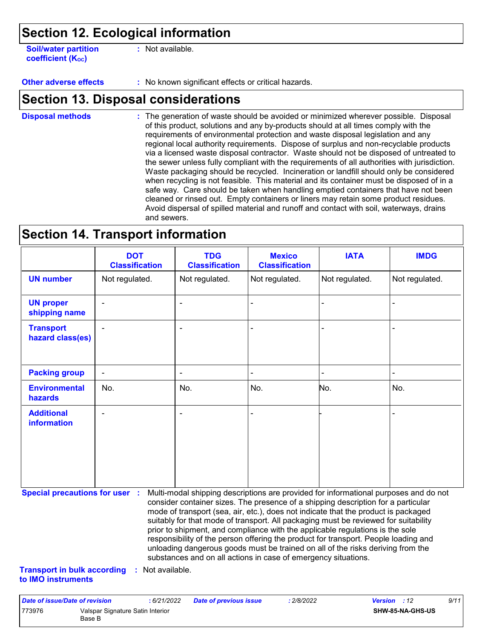### **Section 12. Ecological information**

**Soil/water partition coefficient (K**<sub>oc</sub>)

**:** Not available.

**Other adverse effects :** No known significant effects or critical hazards.

### **Section 13. Disposal considerations**

The generation of waste should be avoided or minimized wherever possible. Disposal of this product, solutions and any by-products should at all times comply with the requirements of environmental protection and waste disposal legislation and any regional local authority requirements. Dispose of surplus and non-recyclable products via a licensed waste disposal contractor. Waste should not be disposed of untreated to the sewer unless fully compliant with the requirements of all authorities with jurisdiction. Waste packaging should be recycled. Incineration or landfill should only be considered when recycling is not feasible. This material and its container must be disposed of in a safe way. Care should be taken when handling emptied containers that have not been cleaned or rinsed out. Empty containers or liners may retain some product residues. Avoid dispersal of spilled material and runoff and contact with soil, waterways, drains and sewers. **Disposal methods :**

### **Section 14. Transport information**

|                                      | <b>DOT</b><br><b>Classification</b> | <b>TDG</b><br><b>Classification</b> | <b>Mexico</b><br><b>Classification</b> | <b>IATA</b>    | <b>IMDG</b>    |
|--------------------------------------|-------------------------------------|-------------------------------------|----------------------------------------|----------------|----------------|
| <b>UN number</b>                     | Not regulated.                      | Not regulated.                      | Not regulated.                         | Not regulated. | Not regulated. |
| <b>UN proper</b><br>shipping name    | $\blacksquare$                      | ۰                                   | $\blacksquare$                         |                |                |
| <b>Transport</b><br>hazard class(es) | ۰                                   | $\blacksquare$                      | $\blacksquare$                         |                | $\blacksquare$ |
| <b>Packing group</b>                 | $\blacksquare$                      | ۰                                   | $\blacksquare$                         |                | $\blacksquare$ |
| <b>Environmental</b><br>hazards      | No.                                 | No.                                 | No.                                    | No.            | No.            |
| <b>Additional</b><br>information     | $\blacksquare$                      | $\blacksquare$                      | $\blacksquare$                         |                |                |

**Special precautions for user :** Multi-modal shipping descriptions are provided for informational purposes and do not consider container sizes. The presence of a shipping description for a particular mode of transport (sea, air, etc.), does not indicate that the product is packaged suitably for that mode of transport. All packaging must be reviewed for suitability prior to shipment, and compliance with the applicable regulations is the sole responsibility of the person offering the product for transport. People loading and unloading dangerous goods must be trained on all of the risks deriving from the substances and on all actions in case of emergency situations.

**Transport in bulk according :** Not available. **to IMO instruments**

| Date of issue/Date of revision |                                            | : 6/21/2022 | <b>Date of previous issue</b> | : 2/8/2022 | <b>Version</b> : 12 |                         | 9/11 |
|--------------------------------|--------------------------------------------|-------------|-------------------------------|------------|---------------------|-------------------------|------|
| 773976                         | Valspar Signature Satin Interior<br>Base B |             |                               |            |                     | <b>SHW-85-NA-GHS-US</b> |      |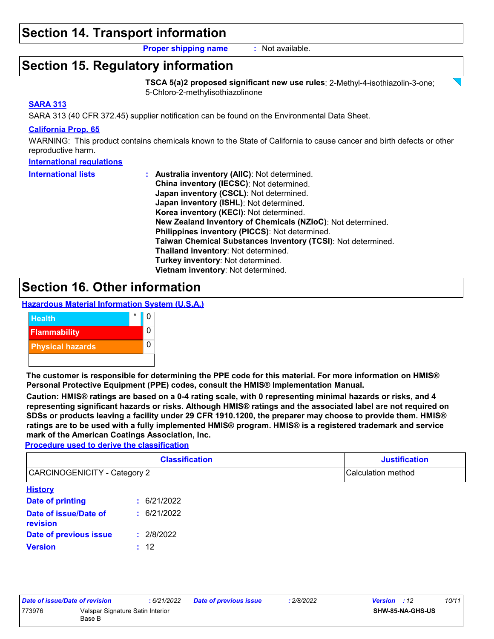### **Section 14. Transport information**

**Proper shipping name :** Not available.

### **Section 15. Regulatory information**

**TSCA 5(a)2 proposed significant new use rules**: 2-Methyl-4-isothiazolin-3-one; 5-Chloro-2-methylisothiazolinone

#### **SARA 313**

SARA 313 (40 CFR 372.45) supplier notification can be found on the Environmental Data Sheet.

#### **California Prop. 65**

WARNING: This product contains chemicals known to the State of California to cause cancer and birth defects or other reproductive harm.

#### **International regulations**

| <b>International lists</b> | : Australia inventory (AIIC): Not determined.                |
|----------------------------|--------------------------------------------------------------|
|                            | China inventory (IECSC): Not determined.                     |
|                            | Japan inventory (CSCL): Not determined.                      |
|                            | Japan inventory (ISHL): Not determined.                      |
|                            | Korea inventory (KECI): Not determined.                      |
|                            | New Zealand Inventory of Chemicals (NZIoC): Not determined.  |
|                            | Philippines inventory (PICCS): Not determined.               |
|                            | Taiwan Chemical Substances Inventory (TCSI): Not determined. |
|                            | Thailand inventory: Not determined.                          |
|                            | Turkey inventory: Not determined.                            |
|                            | Vietnam inventory: Not determined.                           |

### **Section 16. Other information**





**The customer is responsible for determining the PPE code for this material. For more information on HMIS® Personal Protective Equipment (PPE) codes, consult the HMIS® Implementation Manual.**

**Caution: HMIS® ratings are based on a 0-4 rating scale, with 0 representing minimal hazards or risks, and 4 representing significant hazards or risks. Although HMIS® ratings and the associated label are not required on SDSs or products leaving a facility under 29 CFR 1910.1200, the preparer may choose to provide them. HMIS® ratings are to be used with a fully implemented HMIS® program. HMIS® is a registered trademark and service mark of the American Coatings Association, Inc.**

**Procedure used to derive the classification**

|                                     | <b>Classification</b> | <b>Justification</b> |  |  |
|-------------------------------------|-----------------------|----------------------|--|--|
| <b>CARCINOGENICITY - Category 2</b> |                       | Calculation method   |  |  |
| <b>History</b>                      |                       |                      |  |  |
| Date of printing                    | 6/21/2022<br>t.       |                      |  |  |
| Date of issue/Date of<br>revision   | : 6/21/2022           |                      |  |  |
| Date of previous issue              | 2/8/2022<br>÷.        |                      |  |  |
| <b>Version</b>                      | : 12                  |                      |  |  |

| Date of issue/Date of revision |                                            | : 6/21/2022 | <b>Date of previous issue</b> | 2/8/2022 | <b>Version</b> : 12 |                         | 10/11 |
|--------------------------------|--------------------------------------------|-------------|-------------------------------|----------|---------------------|-------------------------|-------|
| 773976                         | Valspar Signature Satin Interior<br>Base B |             |                               |          |                     | <b>SHW-85-NA-GHS-US</b> |       |